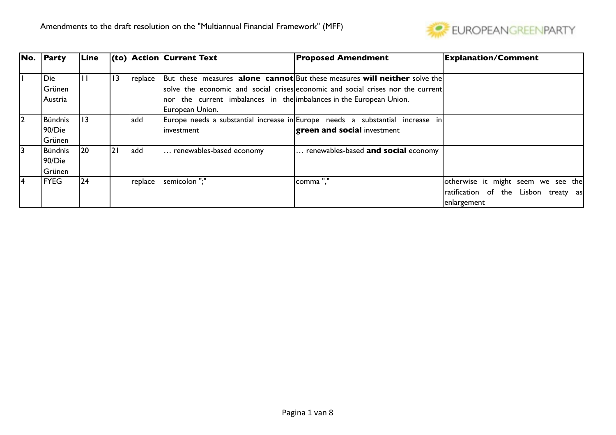

| No.            | Party       | Line |                 |         | $\vert$ (to) $\vert$ Action $\vert$ Current Text                    | <b>Proposed Amendment</b>                                                                       | <b>Explanation/Comment</b>           |
|----------------|-------------|------|-----------------|---------|---------------------------------------------------------------------|-------------------------------------------------------------------------------------------------|--------------------------------------|
|                |             |      |                 |         |                                                                     |                                                                                                 |                                      |
|                | <b>Die</b>  | Ш    | $\overline{13}$ | replace |                                                                     | $\vert$ But these measures <b>alone cannot</b> But these measures <b>will neither</b> solve the |                                      |
|                | Grünen      |      |                 |         |                                                                     | solve the economic and social crises economic and social crises nor the current                 |                                      |
|                | IAustria    |      |                 |         | nor the current imbalances in the imbalances in the European Union. |                                                                                                 |                                      |
|                |             |      |                 |         | European Union.                                                     |                                                                                                 |                                      |
| $\overline{2}$ | Bündnis     | 13   |                 | add     |                                                                     | Europe needs a substantial increase in Europe needs a substantial increase in                   |                                      |
|                | 90/Die      |      |                 |         | investment                                                          | <b>green and social investment</b>                                                              |                                      |
|                | Grünen      |      |                 |         |                                                                     |                                                                                                 |                                      |
| 3              | Bündnis     | 20   | <u> 21</u>      | add     | renewables-based economy                                            | renewables-based <b>and social</b> economy                                                      |                                      |
|                | 90/Die      |      |                 |         |                                                                     |                                                                                                 |                                      |
|                | Grünen      |      |                 |         |                                                                     |                                                                                                 |                                      |
| 4              | <b>FYEG</b> | 24   |                 | replace | semicolon ":"                                                       | Icomma "."                                                                                      | otherwise it might seem we see the   |
|                |             |      |                 |         |                                                                     |                                                                                                 | ratification of the Lisbon treaty as |
|                |             |      |                 |         |                                                                     |                                                                                                 | enlargement                          |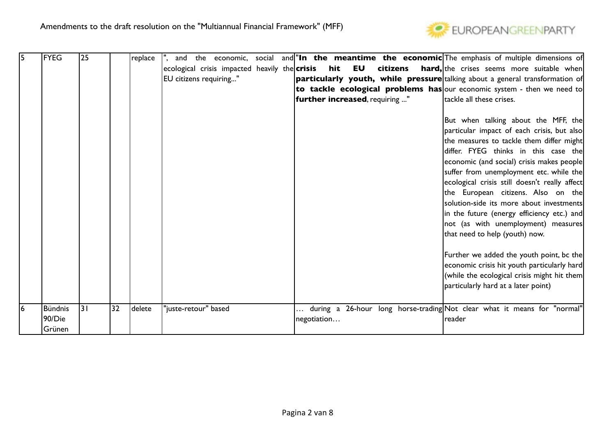

| 15 | <b>FYEG</b> | 25 |    | replace |                                                              |  |             |                                |          | $\vert$ ", and the economic, social and $\vert$ " <b>In the meantime the economic</b> The emphasis of multiple dimensions of |
|----|-------------|----|----|---------|--------------------------------------------------------------|--|-------------|--------------------------------|----------|------------------------------------------------------------------------------------------------------------------------------|
|    |             |    |    |         | $ $ ecological crisis impacted heavily the $ $ <b>crisis</b> |  |             | hit EU                         | citizens | <b>hard,</b> the crises seems more suitable when                                                                             |
|    |             |    |    |         | EU citizens requiring"                                       |  |             |                                |          | <b>particularly youth, while pressure</b> talking about a general transformation of                                          |
|    |             |    |    |         |                                                              |  |             |                                |          | to tackle ecological problems has our economic system - then we need to                                                      |
|    |             |    |    |         |                                                              |  |             | further increased, requiring " |          | tackle all these crises.                                                                                                     |
|    |             |    |    |         |                                                              |  |             |                                |          |                                                                                                                              |
|    |             |    |    |         |                                                              |  |             |                                |          | But when talking about the MFF, the                                                                                          |
|    |             |    |    |         |                                                              |  |             |                                |          | particular impact of each crisis, but also                                                                                   |
|    |             |    |    |         |                                                              |  |             |                                |          | the measures to tackle them differ might                                                                                     |
|    |             |    |    |         |                                                              |  |             |                                |          | differ. FYEG thinks in this case the                                                                                         |
|    |             |    |    |         |                                                              |  |             |                                |          | economic (and social) crisis makes people                                                                                    |
|    |             |    |    |         |                                                              |  |             |                                |          | suffer from unemployment etc. while the                                                                                      |
|    |             |    |    |         |                                                              |  |             |                                |          | ecological crisis still doesn't really affect                                                                                |
|    |             |    |    |         |                                                              |  |             |                                |          | the European citizens. Also on the                                                                                           |
|    |             |    |    |         |                                                              |  |             |                                |          | solution-side its more about investments                                                                                     |
|    |             |    |    |         |                                                              |  |             |                                |          | in the future (energy efficiency etc.) and                                                                                   |
|    |             |    |    |         |                                                              |  |             |                                |          | not (as with unemployment) measures                                                                                          |
|    |             |    |    |         |                                                              |  |             |                                |          | that need to help (youth) now.                                                                                               |
|    |             |    |    |         |                                                              |  |             |                                |          |                                                                                                                              |
|    |             |    |    |         |                                                              |  |             |                                |          | Further we added the youth point, bc the                                                                                     |
|    |             |    |    |         |                                                              |  |             |                                |          | economic crisis hit youth particularly hard                                                                                  |
|    |             |    |    |         |                                                              |  |             |                                |          | (while the ecological crisis might hit them                                                                                  |
|    |             |    |    |         |                                                              |  |             |                                |          | particularly hard at a later point)                                                                                          |
|    |             |    |    |         |                                                              |  |             |                                |          |                                                                                                                              |
| 6  | Bündnis     | 31 | 32 | delete  | "juste-retour" based                                         |  |             |                                |          | $\dots$ during a 26-hour long horse-trading $ {\sf Not}$ clear what it means for "normal"                                    |
|    | 90/Die      |    |    |         |                                                              |  | negotiation |                                |          | reader                                                                                                                       |
|    | Grünen      |    |    |         |                                                              |  |             |                                |          |                                                                                                                              |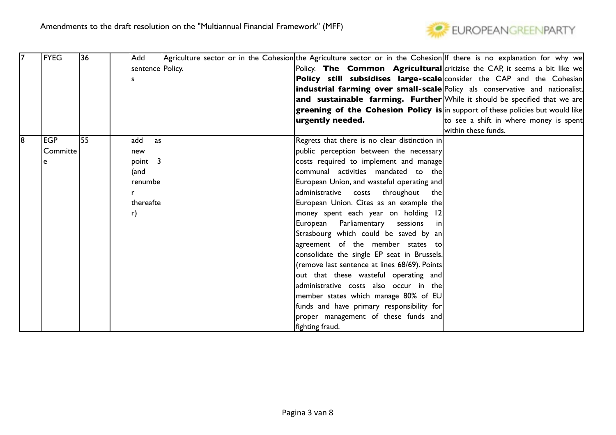

|    | <b>FYEG</b> | 36 | Add                | Agriculture sector or in the Cohesion the Agriculture sector or in the Cohesion If there is no explanation for why we |                                        |
|----|-------------|----|--------------------|-----------------------------------------------------------------------------------------------------------------------|----------------------------------------|
|    |             |    | sentence   Policy. | Policy. The Common Agricultural critizise the CAP, it seems a bit like we                                             |                                        |
|    |             |    |                    | <b>Policy still subsidises large-scale</b> consider the CAP and the Cohesian                                          |                                        |
|    |             |    |                    | <b>industrial farming over small-scale</b> Policy als conservative and nationalist.                                   |                                        |
|    |             |    |                    | and sustainable farming. Further While it should be specified that we are                                             |                                        |
|    |             |    |                    | greening of the Cohesion Policy is in support of these policies but would like                                        |                                        |
|    |             |    |                    | urgently needed.                                                                                                      | to see a shift in where money is spent |
|    |             |    |                    |                                                                                                                       | within these funds.                    |
| 18 | <b>EGP</b>  | 55 | add<br>asl         | Regrets that there is no clear distinction in                                                                         |                                        |
|    | Committe    |    | new                | public perception between the necessary                                                                               |                                        |
|    |             |    | point 3            | costs required to implement and manage                                                                                |                                        |
|    |             |    | (and               | communal activities mandated to thel                                                                                  |                                        |
|    |             |    | renumbe            | European Union, and wasteful operating and                                                                            |                                        |
|    |             |    |                    | administrative costs<br>throughout<br>thel                                                                            |                                        |
|    |             |    | thereafte          | European Union. Cites as an example the                                                                               |                                        |
|    |             |    | $\mathsf{r}$       | money spent each year on holding 12                                                                                   |                                        |
|    |             |    |                    | European Parliamentary sessions<br>inl                                                                                |                                        |
|    |             |    |                    | Strasbourg which could be saved by an                                                                                 |                                        |
|    |             |    |                    | agreement of the member states to                                                                                     |                                        |
|    |             |    |                    | consolidate the single EP seat in Brussels.                                                                           |                                        |
|    |             |    |                    | (remove last sentence at lines 68/69). Points                                                                         |                                        |
|    |             |    |                    | out that these wasteful operating and                                                                                 |                                        |
|    |             |    |                    | administrative costs also occur in the                                                                                |                                        |
|    |             |    |                    | member states which manage 80% of EU                                                                                  |                                        |
|    |             |    |                    | funds and have primary responsibility for                                                                             |                                        |
|    |             |    |                    | proper management of these funds and                                                                                  |                                        |
|    |             |    |                    | fighting fraud.                                                                                                       |                                        |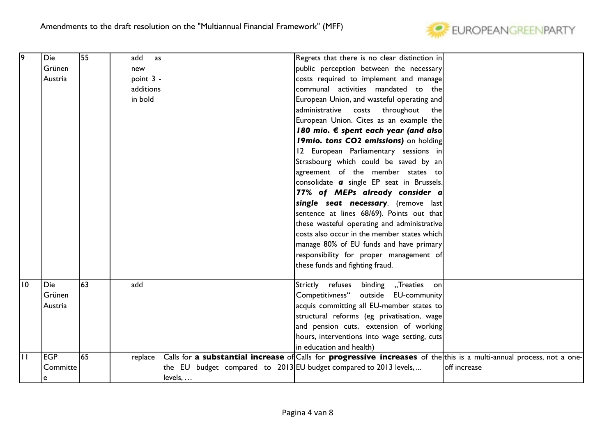

| 19           | Die        | 55 | add       | asl |                                                                                                                       | Regrets that there is no clear distinction in    |              |
|--------------|------------|----|-----------|-----|-----------------------------------------------------------------------------------------------------------------------|--------------------------------------------------|--------------|
|              | Grünen     |    | new       |     |                                                                                                                       | public perception between the necessary          |              |
|              | Austria    |    | point 3 - |     |                                                                                                                       | costs required to implement and manage           |              |
|              |            |    | additions |     |                                                                                                                       | communal activities mandated to the              |              |
|              |            |    | in bold   |     |                                                                                                                       | European Union, and wasteful operating and       |              |
|              |            |    |           |     |                                                                                                                       | administrative costs<br>throughout<br>thel       |              |
|              |            |    |           |     |                                                                                                                       | European Union. Cites as an example the          |              |
|              |            |    |           |     |                                                                                                                       | 180 mio. € spent each year (and also             |              |
|              |            |    |           |     |                                                                                                                       | 19mio. tons CO2 emissions) on holding            |              |
|              |            |    |           |     |                                                                                                                       | 12 European Parliamentary sessions in            |              |
|              |            |    |           |     |                                                                                                                       | Strasbourg which could be saved by an            |              |
|              |            |    |           |     |                                                                                                                       | agreement of the member states to                |              |
|              |            |    |           |     |                                                                                                                       | consolidate <b>a</b> single EP seat in Brussels. |              |
|              |            |    |           |     |                                                                                                                       | 77% of MEPs already consider a                   |              |
|              |            |    |           |     |                                                                                                                       | single seat necessary. (remove last              |              |
|              |            |    |           |     |                                                                                                                       | sentence at lines 68/69). Points out that        |              |
|              |            |    |           |     |                                                                                                                       | these wasteful operating and administrative      |              |
|              |            |    |           |     |                                                                                                                       | costs also occur in the member states which      |              |
|              |            |    |           |     |                                                                                                                       | manage 80% of EU funds and have primary          |              |
|              |            |    |           |     |                                                                                                                       | responsibility for proper management of          |              |
|              |            |    |           |     |                                                                                                                       | these funds and fighting fraud.                  |              |
|              |            |    |           |     |                                                                                                                       |                                                  |              |
| 10           | Die        | 63 | add       |     |                                                                                                                       | Strictly refuses binding "Treaties on            |              |
|              | Grünen     |    |           |     |                                                                                                                       | Competitivness" outside EU-community             |              |
|              | Austria    |    |           |     |                                                                                                                       | acquis committing all EU-member states to        |              |
|              |            |    |           |     |                                                                                                                       | structural reforms (eg privatisation, wage       |              |
|              |            |    |           |     |                                                                                                                       | and pension cuts, extension of working           |              |
|              |            |    |           |     |                                                                                                                       | hours, interventions into wage setting, cuts     |              |
|              |            |    |           |     |                                                                                                                       | in education and health)                         |              |
| $\mathbf{H}$ | <b>EGP</b> | 65 | replace   |     | Calls for a substantial increase of Calls for progressive increases of the this is a multi-annual process, not a one- |                                                  |              |
|              | Committe   |    |           |     | the EU budget compared to 2013 EU budget compared to 2013 levels,                                                     |                                                  | off increase |
|              |            |    |           |     | levels,                                                                                                               |                                                  |              |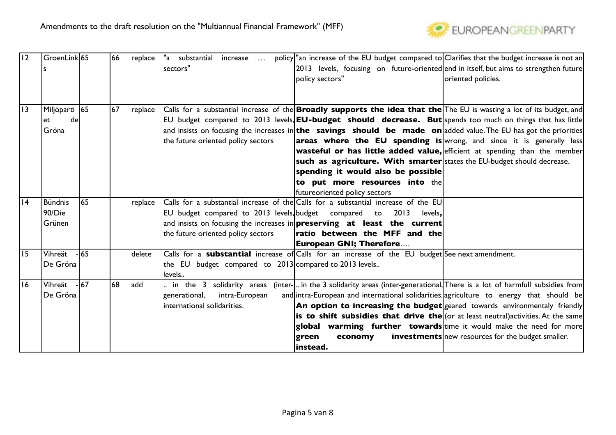

| 12 | GroenLink 65   |        | 66 | replace | "a substantial<br>increase                             | policy an increase of the EU budget compared to Clarifies that the budget increase is not an                                 |                                                          |
|----|----------------|--------|----|---------|--------------------------------------------------------|------------------------------------------------------------------------------------------------------------------------------|----------------------------------------------------------|
|    |                |        |    |         | sectors"                                               | 2013 levels, focusing on future-oriented end in itself, but aims to strengthen future                                        |                                                          |
|    |                |        |    |         |                                                        | policy sectors"                                                                                                              | oriented policies.                                       |
|    |                |        |    |         |                                                        |                                                                                                                              |                                                          |
|    |                |        |    |         |                                                        |                                                                                                                              |                                                          |
| 3  | Miljöparti  65 |        | 67 | replace |                                                        | Calls for a substantial increase of the <b>Broadly supports the idea that the</b> The EU is wasting a lot of its budget, and |                                                          |
|    | de<br>let      |        |    |         |                                                        | EU budget compared to 2013 levels, EU-budget should decrease. But spends too much on things that has little                  |                                                          |
|    | Gröna          |        |    |         |                                                        | and insists on focusing the increases in <b>the savings should be made on</b> added value. The EU has got the priorities     |                                                          |
|    |                |        |    |         | the future oriented policy sectors                     | areas where the EU spending is wrong, and since it is generally less                                                         |                                                          |
|    |                |        |    |         |                                                        | <b>wasteful or has little added value,</b> efficient at spending than the member                                             |                                                          |
|    |                |        |    |         |                                                        | such as agriculture. With smarter states the EU-budget should decrease.                                                      |                                                          |
|    |                |        |    |         |                                                        | spending it would also be possible                                                                                           |                                                          |
|    |                |        |    |         |                                                        | to put more resources into the                                                                                               |                                                          |
|    |                |        |    |         |                                                        | futureoriented policy sectors                                                                                                |                                                          |
| 4  | <b>Bündnis</b> | 165    |    | replace |                                                        | Calls for a substantial increase of the Calls for a substantial increase of the EU                                           |                                                          |
|    | 90/Die         |        |    |         | EU budget compared to 2013 levels, budget compared to  | 2013<br>levels,                                                                                                              |                                                          |
|    | Grünen         |        |    |         |                                                        | and insists on focusing the increases in <b>preserving at least the current</b>                                              |                                                          |
|    |                |        |    |         | the future oriented policy sectors                     | ratio between the MFF and the                                                                                                |                                                          |
|    |                |        |    |         |                                                        | <b>European GNI; Therefore</b>                                                                                               |                                                          |
| 15 | Vihreät        | $-165$ |    | delete  |                                                        | Calls for a substantial increase of Calls for an increase of the EU budget See next amendment.                               |                                                          |
|    | De Gröna       |        |    |         | the EU budget compared to 2013 compared to 2013 levels |                                                                                                                              |                                                          |
|    |                |        |    |         | levels                                                 |                                                                                                                              |                                                          |
| 16 | Vihreät        | $-167$ | 68 | add     |                                                        | in the 3 solidarity areas (inter-  in the 3 solidarity areas (inter-generational, There is a lot of harmfull subsidies from  |                                                          |
|    | De Gröna       |        |    |         | intra-European<br> generational,                       | and intra-European and international solidarities agriculture to energy that should be                                       |                                                          |
|    |                |        |    |         | linternational solidarities.                           | An option to increasing the budget geared towards environmentaly friendly                                                    |                                                          |
|    |                |        |    |         |                                                        | is to shift subsidies that drive the $ $ (or at least neutral) activities. At the same                                       |                                                          |
|    |                |        |    |         |                                                        | global warming further towards time it would make the need for more                                                          |                                                          |
|    |                |        |    |         |                                                        | green<br>economy                                                                                                             | <b>investments</b> new resources for the budget smaller. |
|    |                |        |    |         |                                                        | instead.                                                                                                                     |                                                          |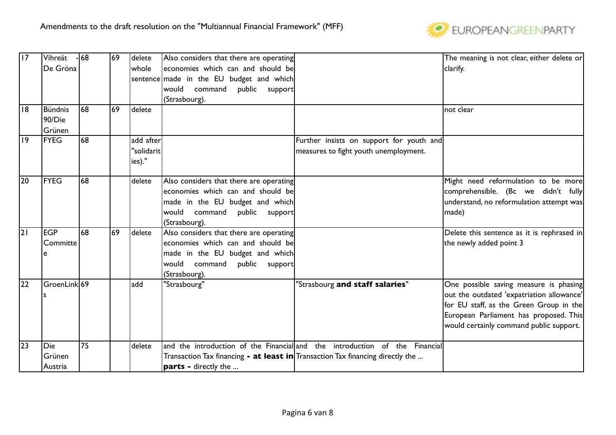

| 17              | Vihreät                  | $-68$ | 69 | delete     | Also considers that there are operating                                               |                                                                             | The meaning is not clear, either delete or |
|-----------------|--------------------------|-------|----|------------|---------------------------------------------------------------------------------------|-----------------------------------------------------------------------------|--------------------------------------------|
|                 | De Gröna                 |       |    | whole      | economies which can and should be                                                     |                                                                             | clarify.                                   |
|                 |                          |       |    |            | sentence made in the EU budget and which                                              |                                                                             |                                            |
|                 |                          |       |    |            | would command<br>public support                                                       |                                                                             |                                            |
|                 |                          |       |    |            | (Strasbourg).                                                                         |                                                                             |                                            |
| 18              | <b>Bündnis</b><br>90/Die | 168   | 69 | delete     |                                                                                       |                                                                             | not clear                                  |
|                 | Grünen                   |       |    |            |                                                                                       |                                                                             |                                            |
| 9               | <b>FYEG</b>              | 68    |    | add after  |                                                                                       | Further insists on support for youth and                                    |                                            |
|                 |                          |       |    | "solidarit |                                                                                       | measures to fight youth unemployment.                                       |                                            |
|                 |                          |       |    | ies)."     |                                                                                       |                                                                             |                                            |
| 20              | FYEG                     | 68    |    | delete     | Also considers that there are operating                                               |                                                                             | Might need reformulation to be more        |
|                 |                          |       |    |            | economies which can and should be                                                     |                                                                             | comprehensible. (Bc we didn't fully        |
|                 |                          |       |    |            | made in the EU budget and which                                                       |                                                                             | understand, no reformulation attempt was   |
|                 |                          |       |    |            | would command<br>public support                                                       |                                                                             | made)                                      |
|                 |                          |       |    |            | (Strasbourg).                                                                         |                                                                             |                                            |
| $\overline{21}$ | <b>EGP</b>               | 68    | 69 | delete     | Also considers that there are operating                                               |                                                                             | Delete this sentence as it is rephrased in |
|                 | Committe                 |       |    |            | economies which can and should be                                                     |                                                                             | the newly added point 3                    |
|                 | e                        |       |    |            | made in the EU budget and which                                                       |                                                                             |                                            |
|                 |                          |       |    |            | would command<br>public support                                                       |                                                                             |                                            |
|                 |                          |       |    |            | (Strasbourg).                                                                         |                                                                             |                                            |
| 22              | GroenLink 69             |       |    | add        | "Strasbourg"                                                                          | "Strasbourg and staff salaries"                                             | One possible saving measure is phasing     |
|                 |                          |       |    |            |                                                                                       |                                                                             | out the outdated 'expatriation allowance'  |
|                 |                          |       |    |            |                                                                                       |                                                                             | for EU staff, as the Green Group in the    |
|                 |                          |       |    |            |                                                                                       |                                                                             | European Parliament has proposed. This     |
|                 |                          |       |    |            |                                                                                       |                                                                             | would certainly command public support.    |
| 23              | Die                      | 75    |    | delete     |                                                                                       | and the introduction of the Financial and the introduction of the Financial |                                            |
|                 | Grünen                   |       |    |            | Transaction Tax financing <b>- at least in</b> Transaction Tax financing directly the |                                                                             |                                            |
|                 | Austria                  |       |    |            | <b>parts -</b> directly the                                                           |                                                                             |                                            |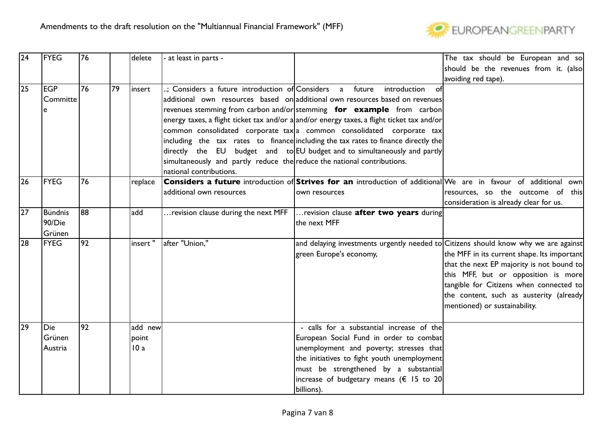

| $\overline{24}$ | <b>FYEG</b>   | 76              |     | delete  | - at least in parts -                                                   |                                                                                                                           | The tax should be European and so           |
|-----------------|---------------|-----------------|-----|---------|-------------------------------------------------------------------------|---------------------------------------------------------------------------------------------------------------------------|---------------------------------------------|
|                 |               |                 |     |         |                                                                         |                                                                                                                           | should be the revenues from it. (also       |
|                 |               |                 |     |         |                                                                         |                                                                                                                           | avoiding red tape).                         |
| $\overline{25}$ | lEGP          | 76              | 79  | linsert | ; Considers a future introduction of Considers a future                 | introduction<br>of                                                                                                        |                                             |
|                 | Committe      |                 |     |         |                                                                         | additional own resources based on additional own resources based on revenues                                              |                                             |
|                 |               |                 |     |         |                                                                         | revenues stemming from carbon and/or stemming <b>for example</b> from carbon                                              |                                             |
|                 |               |                 |     |         |                                                                         | energy taxes, a flight ticket tax and/or a and/or energy taxes, a flight ticket tax and/or                                |                                             |
|                 |               |                 |     |         |                                                                         | common consolidated corporate tax a common consolidated corporate tax                                                     |                                             |
|                 |               |                 |     |         |                                                                         | including the tax rates to finance including the tax rates to finance directly the                                        |                                             |
|                 |               |                 |     |         |                                                                         | $ $ directly the EU budget and to EU budget and to simultaneously and partly                                              |                                             |
|                 |               |                 |     |         | simultaneously and partly reduce the reduce the national contributions. |                                                                                                                           |                                             |
|                 |               |                 |     |         | national contributions.                                                 |                                                                                                                           |                                             |
| 26              | <b>FYEG</b>   | 76              |     | replace |                                                                         | <b>Considers a future</b> introduction of <b>Strives for an</b> introduction of additional We are in favour of additional | own                                         |
|                 |               |                 |     |         | additional own resources                                                | own resources                                                                                                             | resources, so the outcome of this           |
|                 |               |                 |     |         |                                                                         |                                                                                                                           | consideration is already clear for us.      |
| $\overline{27}$ | Bündnis       | 88              | add |         | revision clause during the next MFF                                     | revision clause after two years during                                                                                    |                                             |
|                 | 90/Die        |                 |     |         |                                                                         | the next MFF                                                                                                              |                                             |
|                 | Grünen        |                 |     |         |                                                                         |                                                                                                                           |                                             |
| 28              | FYEG          | $\overline{92}$ |     | insert" | after "Union,"                                                          | and delaying investments urgently needed to Citizens should know why we are against                                       |                                             |
|                 |               |                 |     |         |                                                                         | green Europe's economy,                                                                                                   | the MFF in its current shape. Its important |
|                 |               |                 |     |         |                                                                         |                                                                                                                           | that the next EP majority is not bound to   |
|                 |               |                 |     |         |                                                                         |                                                                                                                           | this MFF, but or opposition is more         |
|                 |               |                 |     |         |                                                                         |                                                                                                                           | tangible for Citizens when connected to     |
|                 |               |                 |     |         |                                                                         |                                                                                                                           | the content, such as austerity (already     |
|                 |               |                 |     |         |                                                                         |                                                                                                                           | mentioned) or sustainability.               |
|                 |               |                 |     |         |                                                                         |                                                                                                                           |                                             |
| 29              | Die           | $\overline{92}$ |     | add new |                                                                         | - calls for a substantial increase of the                                                                                 |                                             |
|                 | <b>Grünen</b> |                 |     | point   |                                                                         | European Social Fund in order to combat                                                                                   |                                             |
|                 | Austria       |                 |     | 10a     |                                                                         | unemployment and poverty; stresses that                                                                                   |                                             |
|                 |               |                 |     |         |                                                                         | the initiatives to fight youth unemployment                                                                               |                                             |
|                 |               |                 |     |         |                                                                         | must be strengthened by a substantial                                                                                     |                                             |
|                 |               |                 |     |         |                                                                         | increase of budgetary means ( $\epsilon$ 15 to 20                                                                         |                                             |
|                 |               |                 |     |         |                                                                         | billions).                                                                                                                |                                             |